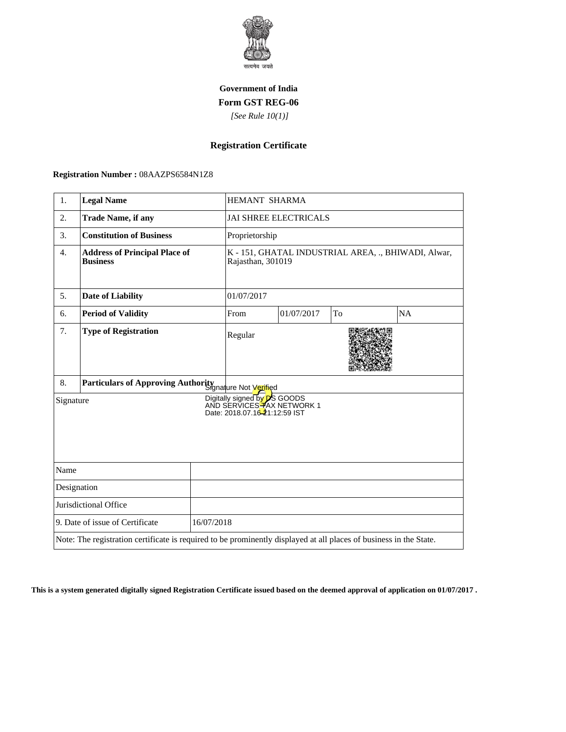

## **Government of India Form GST REG-06**

 *[See Rule 10(1)]*

## **Registration Certificate**

 **Registration Number :** 08AAZPS6584N1Z8

| 1.                                                                                                                 | <b>Legal Name</b>                                       |  | HEMANT SHARMA                                                            |            |    |    |
|--------------------------------------------------------------------------------------------------------------------|---------------------------------------------------------|--|--------------------------------------------------------------------------|------------|----|----|
| 2.                                                                                                                 | <b>Trade Name, if any</b>                               |  | <b>JAI SHREE ELECTRICALS</b>                                             |            |    |    |
| 3.                                                                                                                 | <b>Constitution of Business</b>                         |  | Proprietorship                                                           |            |    |    |
| $\overline{4}$ .                                                                                                   | <b>Address of Principal Place of</b><br><b>Business</b> |  | K - 151, GHATAL INDUSTRIAL AREA, ., BHIWADI, Alwar,<br>Rajasthan, 301019 |            |    |    |
| 5.                                                                                                                 | <b>Date of Liability</b>                                |  | 01/07/2017                                                               |            |    |    |
| 6.                                                                                                                 | <b>Period of Validity</b>                               |  | From                                                                     | 01/07/2017 | To | NA |
| 7.                                                                                                                 | <b>Type of Registration</b>                             |  | Regular                                                                  |            |    |    |
| Particulars of Approving Authority and Not Vertied<br>8.                                                           |                                                         |  |                                                                          |            |    |    |
| Digitally signed by DS GOODS<br>AND SERVICES TAX NETWORK 1<br>Signature<br>Date: 2018.07.16-21:12:59 IST           |                                                         |  |                                                                          |            |    |    |
| Name                                                                                                               |                                                         |  |                                                                          |            |    |    |
| Designation                                                                                                        |                                                         |  |                                                                          |            |    |    |
| Jurisdictional Office                                                                                              |                                                         |  |                                                                          |            |    |    |
| 9. Date of issue of Certificate<br>16/07/2018                                                                      |                                                         |  |                                                                          |            |    |    |
| Note: The registration certificate is required to be prominently displayed at all places of business in the State. |                                                         |  |                                                                          |            |    |    |

**This is a system generated digitally signed Registration Certificate issued based on the deemed approval of application on 01/07/2017 .**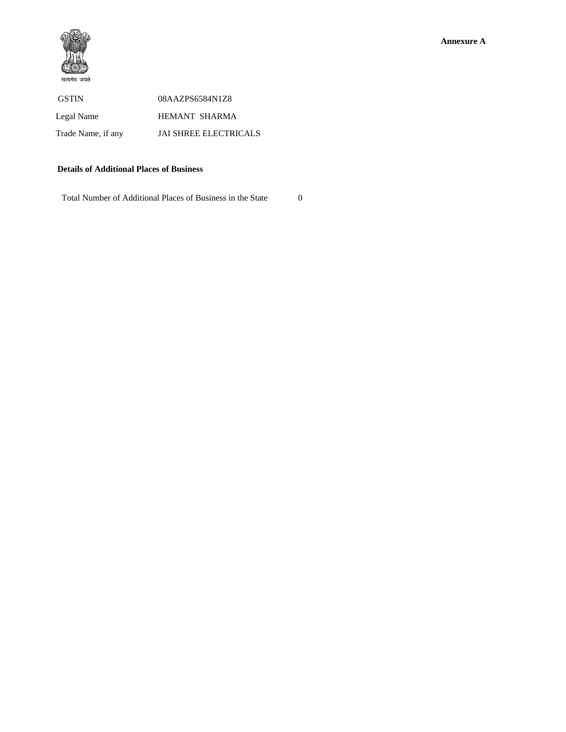

| <b>GSTIN</b>       | 08AAZPS6584N1Z8              |
|--------------------|------------------------------|
| Legal Name         | HEMANT SHARMA                |
| Trade Name, if any | <b>JAI SHREE ELECTRICALS</b> |

## **Details of Additional Places of Business**

Total Number of Additional Places of Business in the State 0